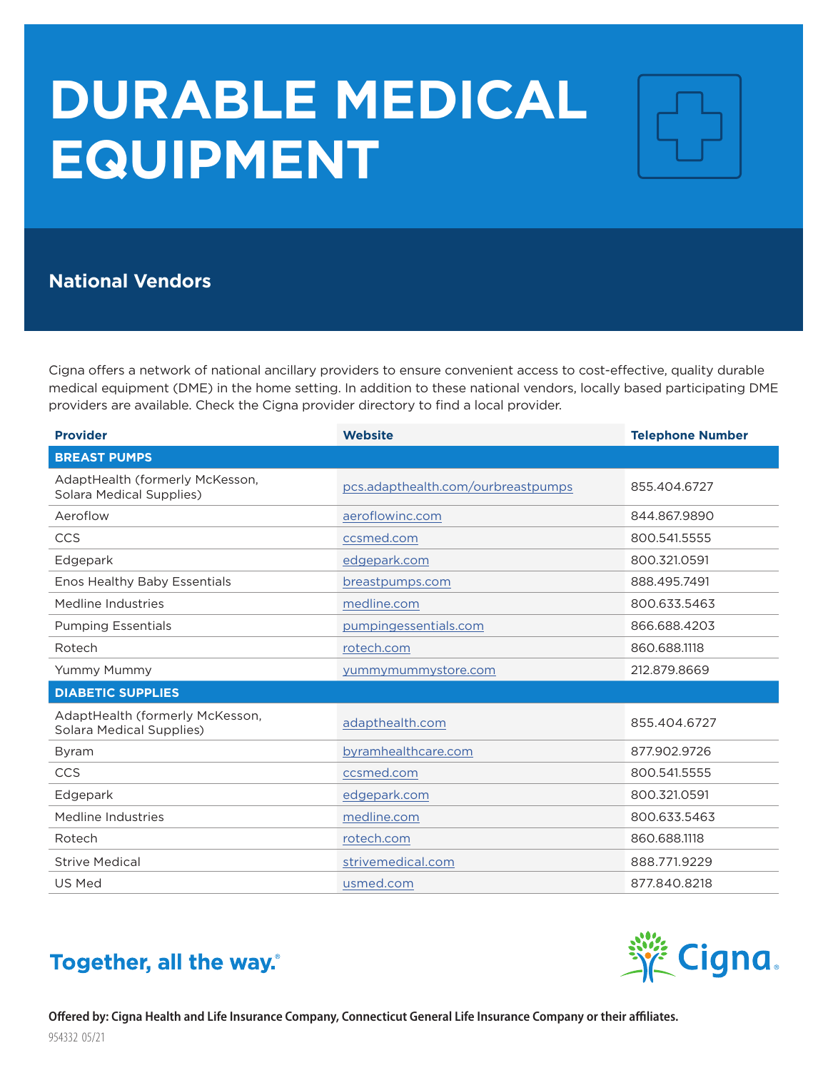## **DURABLE MEDICAL EQUIPMENT**



## **National Vendors**

Cigna offers a network of national ancillary providers to ensure convenient access to cost-effective, quality durable medical equipment (DME) in the home setting. In addition to these national vendors, locally based participating DME providers are available. Check the Cigna provider directory to find a local provider.

| <b>Provider</b>                                                    | <b>Website</b>                     | <b>Telephone Number</b> |
|--------------------------------------------------------------------|------------------------------------|-------------------------|
| <b>BREAST PUMPS</b>                                                |                                    |                         |
| AdaptHealth (formerly McKesson,<br>Solara Medical Supplies)        | pcs.adapthealth.com/ourbreastpumps | 855.404.6727            |
| Aeroflow                                                           | aeroflowinc.com                    | 844.867.9890            |
| CCS                                                                | ccsmed.com                         | 800.541.5555            |
| Edgepark                                                           | edgepark.com                       | 800.321.0591            |
| Enos Healthy Baby Essentials                                       | breastpumps.com                    | 888.495.7491            |
| Medline Industries                                                 | medline.com                        | 800.633.5463            |
| <b>Pumping Essentials</b>                                          | pumpingessentials.com              | 866.688.4203            |
| Rotech                                                             | rotech.com                         | 860.688.1118            |
| Yummy Mummy                                                        | yummymummystore.com                | 212.879.8669            |
| <b>DIABETIC SUPPLIES</b>                                           |                                    |                         |
| AdaptHealth (formerly McKesson,<br><b>Solara Medical Supplies)</b> | adapthealth.com                    | 855.404.6727            |
| Byram                                                              | byramhealthcare.com                | 877.902.9726            |
| CCS                                                                | ccsmed.com                         | 800.541.5555            |
| Edgepark                                                           | edgepark.com                       | 800.321.0591            |
| Medline Industries                                                 | medline.com                        | 800.633.5463            |
| Rotech                                                             | rotech.com                         | 860.688.1118            |
| <b>Strive Medical</b>                                              | strivemedical.com                  | 888.771.9229            |
| <b>US Med</b>                                                      | usmed.com                          | 877.840.8218            |

## Together, all the way.

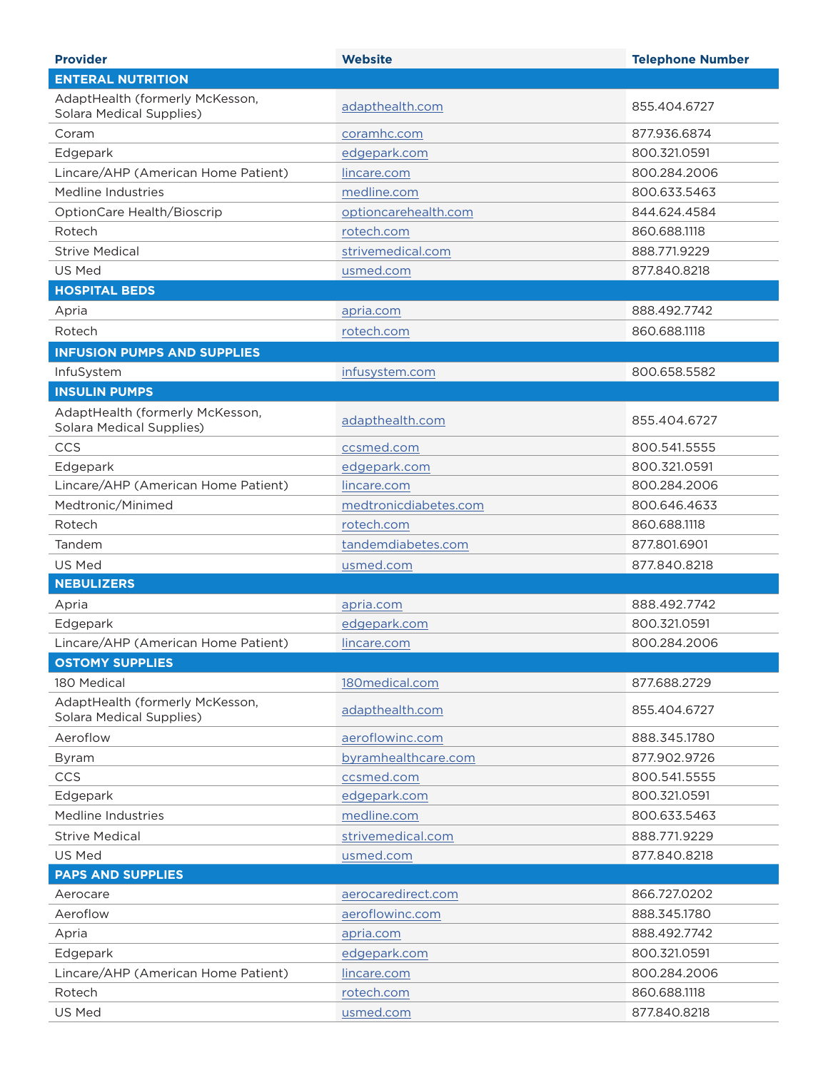| <b>Provider</b>                                                    | <b>Website</b>        | <b>Telephone Number</b> |
|--------------------------------------------------------------------|-----------------------|-------------------------|
| <b>ENTERAL NUTRITION</b>                                           |                       |                         |
| AdaptHealth (formerly McKesson,<br><b>Solara Medical Supplies)</b> | adapthealth.com       | 855.404.6727            |
| Coram                                                              | coramhc.com           | 877.936.6874            |
| Edgepark                                                           | edgepark.com          | 800.321.0591            |
| Lincare/AHP (American Home Patient)                                | lincare.com           | 800.284.2006            |
| Medline Industries                                                 | medline.com           | 800.633.5463            |
| OptionCare Health/Bioscrip                                         | optioncarehealth.com  | 844.624.4584            |
| Rotech                                                             | rotech.com            | 860.688.1118            |
| <b>Strive Medical</b>                                              | strivemedical.com     | 888.771.9229            |
| <b>US Med</b>                                                      | usmed.com             | 877,840,8218            |
| <b>HOSPITAL BEDS</b>                                               |                       |                         |
| Apria                                                              | apria.com             | 888.492.7742            |
| Rotech                                                             | rotech.com            | 860.688.1118            |
| <b>INFUSION PUMPS AND SUPPLIES</b>                                 |                       |                         |
| InfuSystem                                                         | infusystem.com        | 800.658.5582            |
| <b>INSULIN PUMPS</b>                                               |                       |                         |
| AdaptHealth (formerly McKesson,                                    |                       |                         |
| <b>Solara Medical Supplies)</b>                                    | adapthealth.com       | 855.404.6727            |
| CCS                                                                | ccsmed.com            | 800.541.5555            |
| Edgepark                                                           | edgepark.com          | 800.321.0591            |
| Lincare/AHP (American Home Patient)                                | lincare.com           | 800.284.2006            |
| Medtronic/Minimed                                                  | medtronicdiabetes.com | 800.646.4633            |
| Rotech                                                             | rotech.com            | 860.688.1118            |
| Tandem                                                             | tandemdiabetes.com    | 877.801.6901            |
| US Med                                                             | usmed.com             | 877.840.8218            |
| <b>NEBULIZERS</b>                                                  |                       |                         |
| Apria                                                              | apria.com             | 888.492.7742            |
| Edgepark                                                           | edgepark.com          | 800.321.0591            |
| Lincare/AHP (American Home Patient)                                | lincare.com           | 800.284.2006            |
| <b>OSTOMY SUPPLIES</b>                                             |                       |                         |
| 180 Medical                                                        | 180medical.com        | 877.688.2729            |
| AdaptHealth (formerly McKesson,<br><b>Solara Medical Supplies)</b> | adapthealth.com       | 855.404.6727            |
| Aeroflow                                                           | aeroflowinc.com       | 888.345.1780            |
| Byram                                                              | byramhealthcare.com   | 877.902.9726            |
| CCS                                                                | ccsmed.com            | 800.541.5555            |
| Edgepark                                                           | edgepark.com          | 800.321.0591            |
| Medline Industries                                                 | medline.com           | 800.633.5463            |
| <b>Strive Medical</b>                                              | strivemedical.com     | 888.771.9229            |
| US Med                                                             | usmed.com             | 877.840.8218            |
| <b>PAPS AND SUPPLIES</b>                                           |                       |                         |
| Aerocare                                                           | aerocaredirect.com    | 866.727.0202            |
| Aeroflow                                                           | aeroflowinc.com       | 888.345.1780            |
| Apria                                                              | apria.com             | 888.492.7742            |
| Edgepark                                                           | edgepark.com          | 800.321.0591            |
| Lincare/AHP (American Home Patient)                                | lincare.com           | 800.284.2006            |
| Rotech                                                             | rotech.com            | 860.688.1118            |
| US Med                                                             | usmed.com             | 877.840.8218            |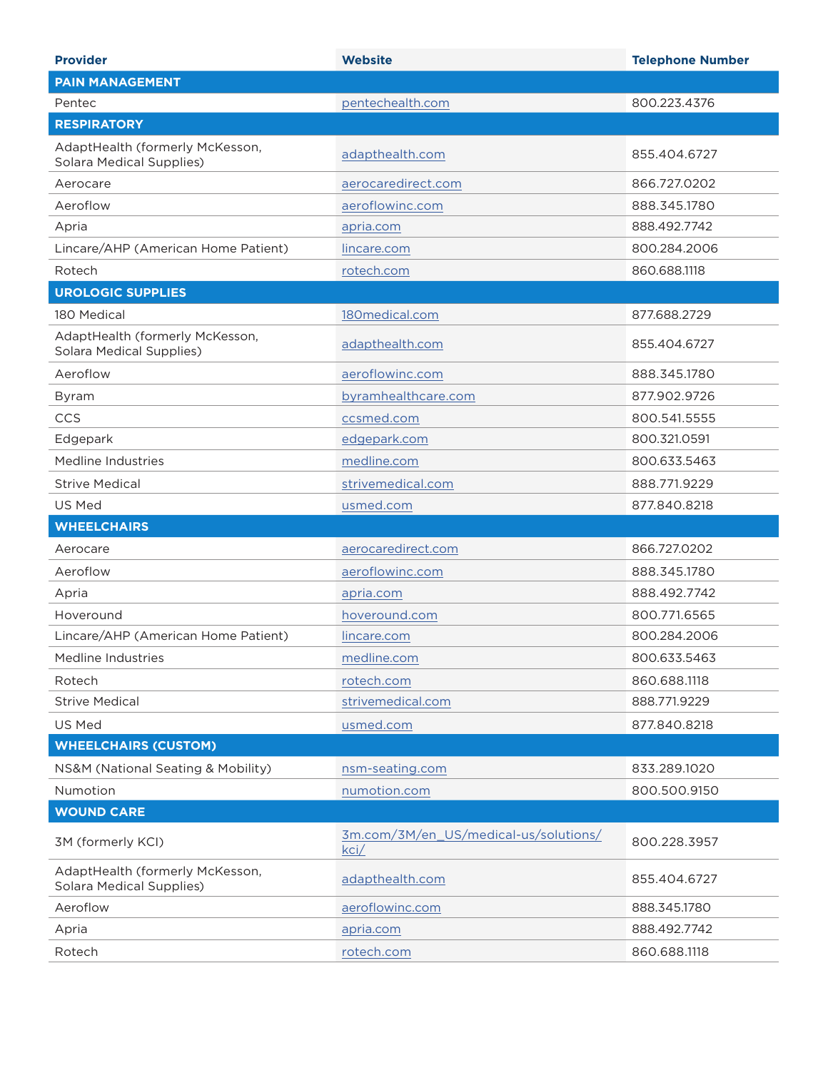| <b>Provider</b>                                                    | <b>Website</b>                                | <b>Telephone Number</b> |
|--------------------------------------------------------------------|-----------------------------------------------|-------------------------|
| <b>PAIN MANAGEMENT</b>                                             |                                               |                         |
| Pentec                                                             | pentechealth.com                              | 800.223.4376            |
| <b>RESPIRATORY</b>                                                 |                                               |                         |
| AdaptHealth (formerly McKesson,<br><b>Solara Medical Supplies)</b> | adapthealth.com                               | 855.404.6727            |
| Aerocare                                                           | aerocaredirect.com                            | 866.727.0202            |
| Aeroflow                                                           | aeroflowinc.com                               | 888.345.1780            |
| Apria                                                              | apria.com                                     | 888.492.7742            |
| Lincare/AHP (American Home Patient)                                | lincare.com                                   | 800.284.2006            |
| Rotech                                                             | rotech.com                                    | 860.688.1118            |
| <b>UROLOGIC SUPPLIES</b>                                           |                                               |                         |
| 180 Medical                                                        | 180medical.com                                | 877.688.2729            |
| AdaptHealth (formerly McKesson,<br><b>Solara Medical Supplies)</b> | adapthealth.com                               | 855.404.6727            |
| Aeroflow                                                           | aeroflowinc.com                               | 888.345.1780            |
| Byram                                                              | byramhealthcare.com                           | 877.902.9726            |
| CCS                                                                | ccsmed.com                                    | 800.541.5555            |
| Edgepark                                                           | edgepark.com                                  | 800.321.0591            |
| Medline Industries                                                 | medline.com                                   | 800.633.5463            |
| <b>Strive Medical</b>                                              | strivemedical.com                             | 888.771.9229            |
| US Med                                                             | usmed.com                                     | 877.840.8218            |
| <b>WHEELCHAIRS</b>                                                 |                                               |                         |
| Aerocare                                                           | aerocaredirect.com                            | 866.727.0202            |
| Aeroflow                                                           | aeroflowinc.com                               | 888.345.1780            |
| Apria                                                              | apria.com                                     | 888.492.7742            |
| Hoveround                                                          | hoveround.com                                 | 800.771.6565            |
| Lincare/AHP (American Home Patient)                                | lincare.com                                   | 800.284.2006            |
| Medline Industries                                                 | medline.com                                   | 800.633.5463            |
| Rotech                                                             | rotech.com                                    | 860.688.1118            |
| <b>Strive Medical</b>                                              | strivemedical.com                             | 888.771.9229            |
| US Med                                                             | usmed.com                                     | 877.840.8218            |
| <b>WHEELCHAIRS (CUSTOM)</b>                                        |                                               |                         |
| NS&M (National Seating & Mobility)                                 | nsm-seating.com                               | 833.289.1020            |
| Numotion                                                           | numotion.com                                  | 800.500.9150            |
| <b>WOUND CARE</b>                                                  |                                               |                         |
| 3M (formerly KCI)                                                  | 3m.com/3M/en_US/medical-us/solutions/<br>kci/ | 800.228.3957            |
| AdaptHealth (formerly McKesson,<br><b>Solara Medical Supplies)</b> | adapthealth.com                               | 855.404.6727            |
| Aeroflow                                                           | aeroflowinc.com                               | 888.345.1780            |
| Apria                                                              | apria.com                                     | 888.492.7742            |
| Rotech                                                             | rotech.com                                    | 860.688.1118            |